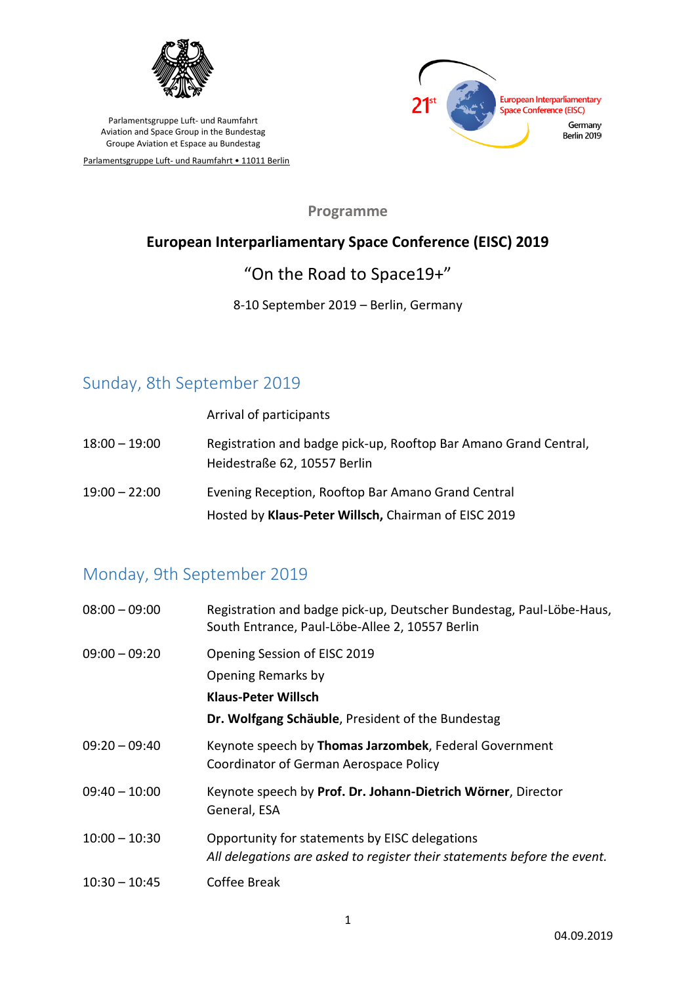

Parlamentsgruppe Luft- und Raumfahrt • 11011 Berlin



**Programme**

#### **European Interparliamentary Space Conference (EISC) 2019**

## "On the Road to Space19+"

#### 8-10 September 2019 – Berlin, Germany

### Sunday, 8th September 2019

Arrival of participants

- 18:00 19:00 Registration and badge pick-up, Rooftop Bar Amano Grand Central, Heidestraße 62, 10557 Berlin
- 19:00 22:00 Evening Reception, Rooftop Bar Amano Grand Central Hosted by **Klaus-Peter Willsch,** Chairman of EISC 2019

# Monday, 9th September 2019

| $08:00 - 09:00$ | Registration and badge pick-up, Deutscher Bundestag, Paul-Löbe-Haus,<br>South Entrance, Paul-Löbe-Allee 2, 10557 Berlin               |
|-----------------|---------------------------------------------------------------------------------------------------------------------------------------|
| $09:00 - 09:20$ | Opening Session of EISC 2019<br>Opening Remarks by<br><b>Klaus-Peter Willsch</b><br>Dr. Wolfgang Schäuble, President of the Bundestag |
| $09:20 - 09:40$ | Keynote speech by Thomas Jarzombek, Federal Government<br>Coordinator of German Aerospace Policy                                      |
| $09:40 - 10:00$ | Keynote speech by Prof. Dr. Johann-Dietrich Wörner, Director<br>General, ESA                                                          |
| $10:00 - 10:30$ | Opportunity for statements by EISC delegations<br>All delegations are asked to register their statements before the event.            |
| $10:30 - 10:45$ | Coffee Break                                                                                                                          |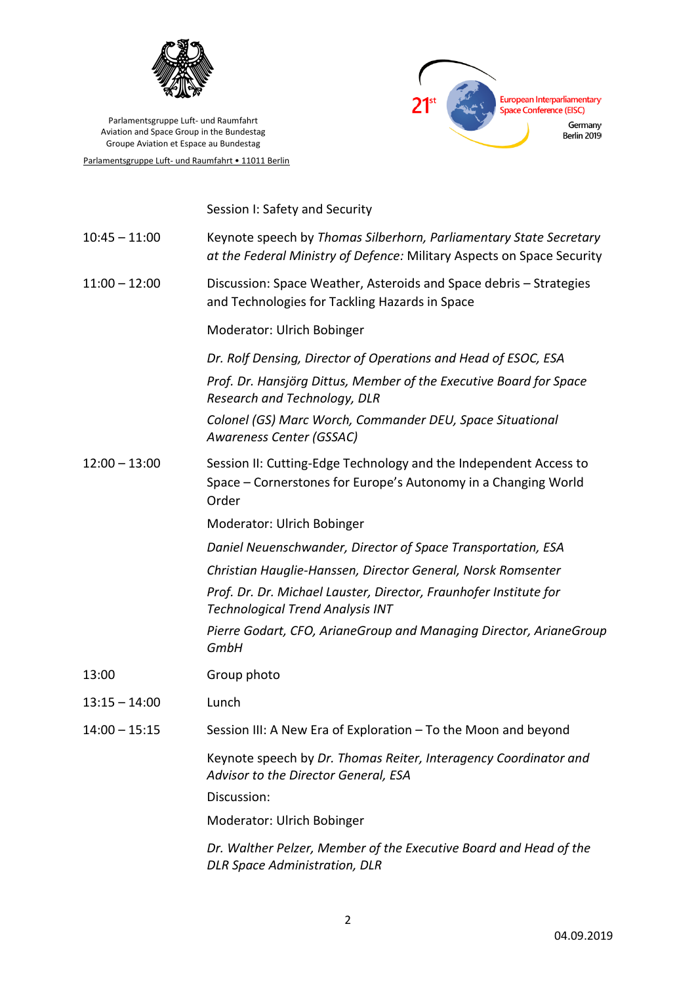

Parlamentsgruppe Luft- und Raumfahrt • 11011 Berlin



Session I: Safety and Security

| $10:45 - 11:00$ | Keynote speech by Thomas Silberhorn, Parliamentary State Secretary<br>at the Federal Ministry of Defence: Military Aspects on Space Security |
|-----------------|----------------------------------------------------------------------------------------------------------------------------------------------|
| $11:00 - 12:00$ | Discussion: Space Weather, Asteroids and Space debris - Strategies<br>and Technologies for Tackling Hazards in Space                         |
|                 | Moderator: Ulrich Bobinger                                                                                                                   |
|                 | Dr. Rolf Densing, Director of Operations and Head of ESOC, ESA                                                                               |
|                 | Prof. Dr. Hansjörg Dittus, Member of the Executive Board for Space<br>Research and Technology, DLR                                           |
|                 | Colonel (GS) Marc Worch, Commander DEU, Space Situational<br>Awareness Center (GSSAC)                                                        |
| $12:00 - 13:00$ | Session II: Cutting-Edge Technology and the Independent Access to<br>Space – Cornerstones for Europe's Autonomy in a Changing World<br>Order |
|                 | Moderator: Ulrich Bobinger                                                                                                                   |
|                 | Daniel Neuenschwander, Director of Space Transportation, ESA                                                                                 |
|                 | Christian Hauglie-Hanssen, Director General, Norsk Romsenter                                                                                 |
|                 | Prof. Dr. Dr. Michael Lauster, Director, Fraunhofer Institute for<br><b>Technological Trend Analysis INT</b>                                 |
|                 | Pierre Godart, CFO, ArianeGroup and Managing Director, ArianeGroup<br><b>GmbH</b>                                                            |
| 13:00           | Group photo                                                                                                                                  |
| $13:15 - 14:00$ | Lunch                                                                                                                                        |
| $14:00 - 15:15$ | Session III: A New Era of Exploration - To the Moon and beyond                                                                               |
|                 | Keynote speech by Dr. Thomas Reiter, Interagency Coordinator and<br>Advisor to the Director General, ESA                                     |
|                 | Discussion:                                                                                                                                  |
|                 | Moderator: Ulrich Bobinger                                                                                                                   |
|                 | Dr. Walther Pelzer, Member of the Executive Board and Head of the<br><b>DLR Space Administration, DLR</b>                                    |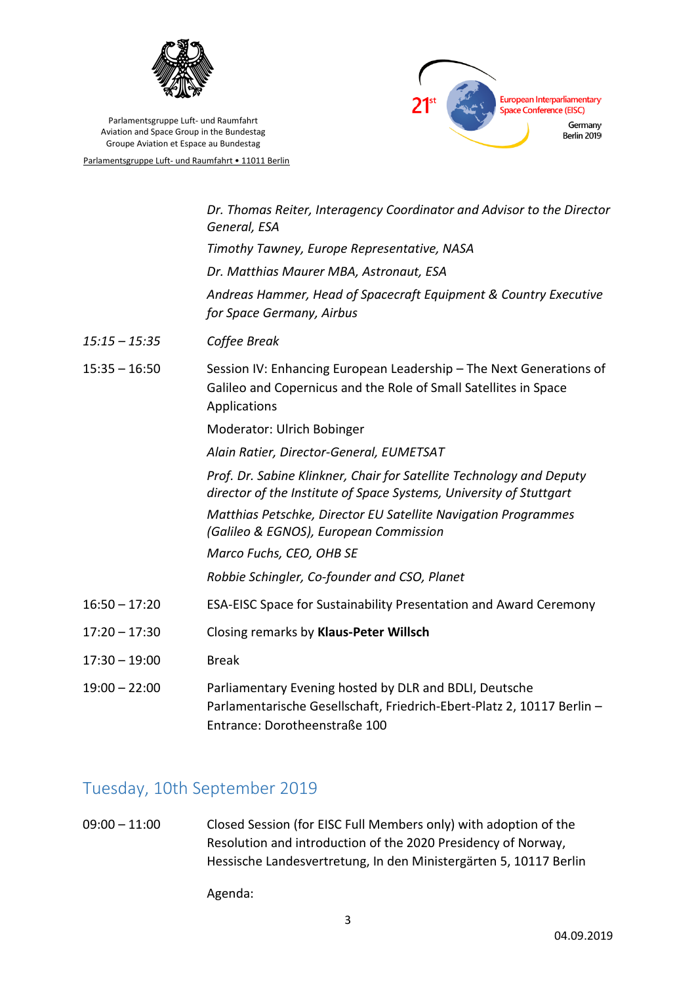



Parlamentsgruppe Luft- und Raumfahrt • 11011 Berlin

|                 | Dr. Thomas Reiter, Interagency Coordinator and Advisor to the Director<br>General, ESA                                                                            |
|-----------------|-------------------------------------------------------------------------------------------------------------------------------------------------------------------|
|                 | Timothy Tawney, Europe Representative, NASA                                                                                                                       |
|                 | Dr. Matthias Maurer MBA, Astronaut, ESA                                                                                                                           |
|                 | Andreas Hammer, Head of Spacecraft Equipment & Country Executive<br>for Space Germany, Airbus                                                                     |
| $15:15 - 15:35$ | Coffee Break                                                                                                                                                      |
| $15:35 - 16:50$ | Session IV: Enhancing European Leadership - The Next Generations of<br>Galileo and Copernicus and the Role of Small Satellites in Space<br>Applications           |
|                 | Moderator: Ulrich Bobinger                                                                                                                                        |
|                 | Alain Ratier, Director-General, EUMETSAT                                                                                                                          |
|                 | Prof. Dr. Sabine Klinkner, Chair for Satellite Technology and Deputy<br>director of the Institute of Space Systems, University of Stuttgart                       |
|                 | Matthias Petschke, Director EU Satellite Navigation Programmes<br>(Galileo & EGNOS), European Commission                                                          |
|                 | Marco Fuchs, CEO, OHB SE                                                                                                                                          |
|                 | Robbie Schingler, Co-founder and CSO, Planet                                                                                                                      |
| $16:50 - 17:20$ | ESA-EISC Space for Sustainability Presentation and Award Ceremony                                                                                                 |
| $17:20 - 17:30$ | Closing remarks by Klaus-Peter Willsch                                                                                                                            |
| $17:30 - 19:00$ | <b>Break</b>                                                                                                                                                      |
| $19:00 - 22:00$ | Parliamentary Evening hosted by DLR and BDLI, Deutsche<br>Parlamentarische Gesellschaft, Friedrich-Ebert-Platz 2, 10117 Berlin -<br>Entrance: Dorotheenstraße 100 |

# Tuesday, 10th September 2019

09:00 – 11:00 Closed Session (for EISC Full Members only) with adoption of the Resolution and introduction of the 2020 Presidency of Norway, Hessische Landesvertretung, In den Ministergärten 5, 10117 Berlin

Agenda: